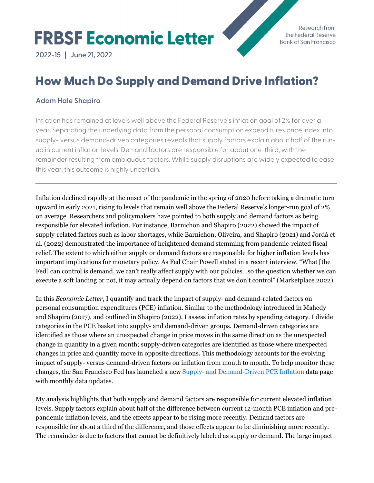# **FRBSF Economic Letter**

Research from the Federal Reserve **Bank of San Francisco** 

**Contract Contract Contract Contract Contract Contract Contract Contract Contract Contract Contract Contract C** 

**2022-15 | June 21, 2022**

# How Much Do Supply and Demand Drive Inflation?

# **Adam Hale Shapiro**

Inflation has remained at levels well above the Federal Reserve's inflation goal of 2% for over a year. Separating the underlying data from the personal consumption expenditures price index into supply- versus demand-driven categories reveals that supply factors explain about half of the runup in current inflation levels. Demand factors are responsible for about one-third, with the remainder resulting from ambiguous factors. While supply disruptions are widely expected to ease this year, this outcome is highly uncertain.

Inflation declined rapidly at the onset of the pandemic in the spring of 2020 before taking a dramatic turn upward in early 2021, rising to levels that remain well above the Federal Reserve's longer-run goal of 2% on average. Researchers and policymakers have pointed to both supply and demand factors as being responsible for elevated inflation. For instance, Barnichon and Shapiro (2022) showed the impact of supply-related factors such as labor shortages, while Barnichon, Oliveira, and Shapiro (2021) and Jordà et al. (2022) demonstrated the importance of heightened demand stemming from pandemic-related fiscal relief. The extent to which either supply or demand factors are responsible for higher inflation levels has important implications for monetary policy. As Fed Chair Powell stated in a recent interview, "What [the Fed] can control is demand, we can't really affect supply with our policies…so the question whether we can execute a soft landing or not, it may actually depend on factors that we don't control" (Marketplace 2022).

In this *Economic Letter*, I quantify and track the impact of supply- and demand-related factors on personal consumption expenditures (PCE) inflation. Similar to the methodology introduced in Mahedy and Shapiro (2017), and outlined in Shapiro (2022), I assess inflation rates by spending category. I divide categories in the PCE basket into supply- and demand-driven groups. Demand-driven categories are identified as those where an unexpected change in price moves in the same direction as the unexpected change in quantity in a given month; supply-driven categories are identified as those where unexpected changes in price and quantity move in opposite directions. This methodology accounts for the evolving impact of supply- versus demand-driven factors on inflation from month to month. To help monitor these changes, the San Francisco Fed has launched a ne[w Supply- and Demand-Driven PCE Inflation](https://www.frbsf.org/economic-research/indicators-data/supply-and-demand-driven-pce-inflation/) data page with monthly data updates.

My analysis highlights that both supply and demand factors are responsible for current elevated inflation levels. Supply factors explain about half of the difference between current 12-month PCE inflation and prepandemic inflation levels, and the effects appear to be rising more recently. Demand factors are responsible for about a third of the difference, and those effects appear to be diminishing more recently. The remainder is due to factors that cannot be definitively labeled as supply or demand. The large impact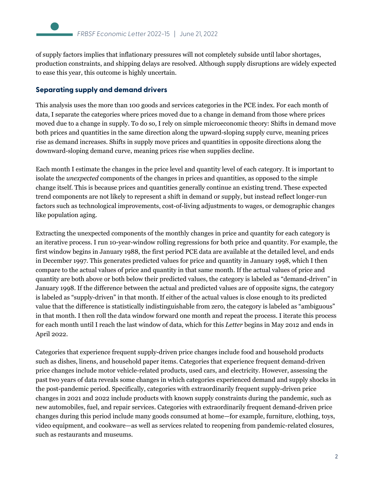of supply factors implies that inflationary pressures will not completely subside until labor shortages, production constraints, and shipping delays are resolved. Although supply disruptions are widely expected to ease this year, this outcome is highly uncertain.

#### **Separating supply and demand drivers**

This analysis uses the more than 100 goods and services categories in the PCE index. For each month of data, I separate the categories where prices moved due to a change in demand from those where prices moved due to a change in supply. To do so, I rely on simple microeconomic theory: Shifts in demand move both prices and quantities in the same direction along the upward-sloping supply curve, meaning prices rise as demand increases. Shifts in supply move prices and quantities in opposite directions along the downward-sloping demand curve, meaning prices rise when supplies decline.

Each month I estimate the changes in the price level and quantity level of each category. It is important to isolate the *unexpected* components of the changes in prices and quantities, as opposed to the simple change itself. This is because prices and quantities generally continue an existing trend. These expected trend components are not likely to represent a shift in demand or supply, but instead reflect longer-run factors such as technological improvements, cost-of-living adjustments to wages, or demographic changes like population aging.

Extracting the unexpected components of the monthly changes in price and quantity for each category is an iterative process. I run 10-year-window rolling regressions for both price and quantity. For example, the first window begins in January 1988, the first period PCE data are available at the detailed level, and ends in December 1997. This generates predicted values for price and quantity in January 1998, which I then compare to the actual values of price and quantity in that same month. If the actual values of price and quantity are both above or both below their predicted values, the category is labeled as "demand-driven" in January 1998. If the difference between the actual and predicted values are of opposite signs, the category is labeled as "supply-driven" in that month. If either of the actual values is close enough to its predicted value that the difference is statistically indistinguishable from zero, the category is labeled as "ambiguous" in that month. I then roll the data window forward one month and repeat the process. I iterate this process for each month until I reach the last window of data, which for this *Letter* begins in May 2012 and ends in April 2022.

Categories that experience frequent supply-driven price changes include food and household products such as dishes, linens, and household paper items. Categories that experience frequent demand-driven price changes include motor vehicle-related products, used cars, and electricity. However, assessing the past two years of data reveals some changes in which categories experienced demand and supply shocks in the post-pandemic period. Specifically, categories with extraordinarily frequent supply-driven price changes in 2021 and 2022 include products with known supply constraints during the pandemic, such as new automobiles, fuel, and repair services. Categories with extraordinarily frequent demand-driven price changes during this period include many goods consumed at home—for example, furniture, clothing, toys, video equipment, and cookware—as well as services related to reopening from pandemic-related closures, such as restaurants and museums.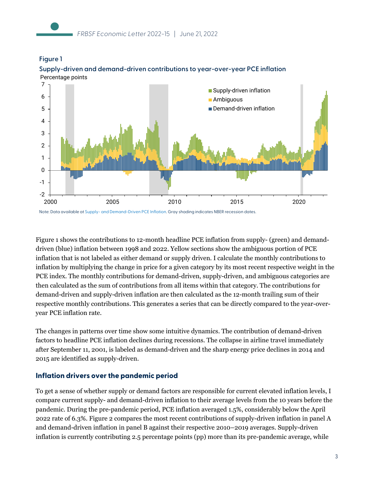



#### **Supply-driven and demand-driven contributions to year-over-year PCE inflation** Percentage points

Note: Data available a[t Supply- and Demand-Driven PCE Inflation.](http://www.frbsf.org/economic-research/indicators-and-data/supply-and-demand-driven-pce-inflation/) Gray shading indicates NBER recession dates.

Figure 1 shows the contributions to 12-month headline PCE inflation from supply- (green) and demanddriven (blue) inflation between 1998 and 2022. Yellow sections show the ambiguous portion of PCE inflation that is not labeled as either demand or supply driven. I calculate the monthly contributions to inflation by multiplying the change in price for a given category by its most recent respective weight in the PCE index. The monthly contributions for demand-driven, supply-driven, and ambiguous categories are then calculated as the sum of contributions from all items within that category. The contributions for demand-driven and supply-driven inflation are then calculated as the 12-month trailing sum of their respective monthly contributions. This generates a series that can be directly compared to the year-overyear PCE inflation rate.

The changes in patterns over time show some intuitive dynamics. The contribution of demand-driven factors to headline PCE inflation declines during recessions. The collapse in airline travel immediately after September 11, 2001, is labeled as demand-driven and the sharp energy price declines in 2014 and 2015 are identified as supply-driven.

# **Inflation drivers over the pandemic period**

To get a sense of whether supply or demand factors are responsible for current elevated inflation levels, I compare current supply- and demand-driven inflation to their average levels from the 10 years before the pandemic. During the pre-pandemic period, PCE inflation averaged 1.5%, considerably below the April 2022 rate of 6.3%. Figure 2 compares the most recent contributions of supply-driven inflation in panel A and demand-driven inflation in panel B against their respective 2010–2019 averages. Supply-driven inflation is currently contributing 2.5 percentage points (pp) more than its pre-pandemic average, while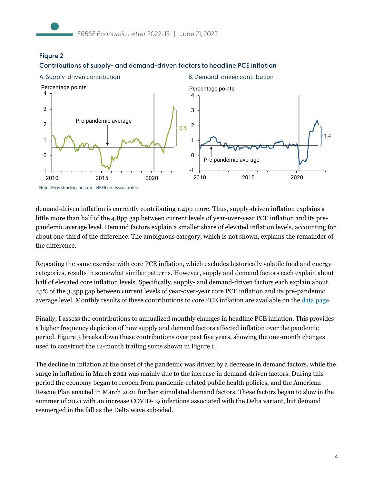**Figure 2**



**Contributions of supply- and demand-driven factors to headline PCE inflation**

demand-driven inflation is currently contributing 1.4pp more. Thus, supply-driven inflation explains a little more than half of the 4.8pp gap between current levels of year-over-year PCE inflation and its prepandemic average level. Demand factors explain a smaller share of elevated inflation levels, accounting for about one-third of the difference. The ambiguous category, which is not shown, explains the remainder of the difference.

Repeating the same exercise with core PCE inflation, which excludes historically volatile food and energy categories, results in somewhat similar patterns. However, supply and demand factors each explain about half of elevated core inflation levels. Specifically, supply- and demand-driven factors each explain about 45% of the 3.3pp gap between current levels of year-over-year core PCE inflation and its pre-pandemic average level. Monthly results of these contributions to core PCE inflation are available on the [data page.](https://www.frbsf.org/economic-research/indicators-data/supply-and-demand-driven-pce-inflation/)

Finally, I assess the contributions to annualized monthly changes in headline PCE inflation. This provides a higher frequency depiction of how supply and demand factors affected inflation over the pandemic period. Figure 3 breaks down these contributions over past five years, showing the one-month changes used to construct the 12-month trailing sums shown in Figure 1.

The decline in inflation at the onset of the pandemic was driven by a decrease in demand factors, while the surge in inflation in March 2021 was mainly due to the increase in demand-driven factors. During this period the economy began to reopen from pandemic-related public health policies, and the American Rescue Plan enacted in March 2021 further stimulated demand factors. These factors began to slow in the summer of 2021 with an increase COVID-19 infections associated with the Delta variant, but demand reemerged in the fall as the Delta wave subsided.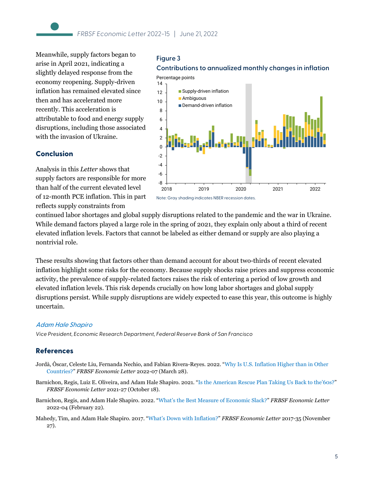**Figure 3**

Meanwhile, supply factors began to arise in April 2021, indicating a slightly delayed response from the economy reopening. Supply-driven inflation has remained elevated since then and has accelerated more recently. This acceleration is attributable to food and energy supply disruptions, including those associated with the invasion of Ukraine.

#### **Conclusion**

**Contributions to annualized monthly changes in inflation** Percentage points



supply factors are responsible for more than half of the current elevated level of 12-month PCE inflation. This in part reflects supply constraints from

Analysis in this *Letter* shows that

continued labor shortages and global supply disruptions related to the pandemic and the war in Ukraine. While demand factors played a large role in the spring of 2021, they explain only about a third of recent elevated inflation levels. Factors that cannot be labeled as either demand or supply are also playing a nontrivial role.

These results showing that factors other than demand account for about two-thirds of recent elevated inflation highlight some risks for the economy. Because supply shocks raise prices and suppress economic activity, the prevalence of supply-related factors raises the risk of entering a period of low growth and elevated inflation levels. This risk depends crucially on how long labor shortages and global supply disruptions persist. While supply disruptions are widely expected to ease this year, this outcome is highly uncertain.

#### [Adam Hale Shapiro](https://www.frbsf.org/economic-research/economists/adam-shapiro/)

*Vice President, Economic Research Department, Federal Reserve Bank of San Francisco*

# **References**

- Jordà, Òscar, Celeste Liu, Fernanda Nechio, and Fabian Rivera-Reyes. 2022. ["Why Is U.S. Inflation Higher than in Other](https://www.frbsf.org/economic-research/publications/economic-letter/2022/march/why-is-us-inflation-higher-than-in-other-countries/)  [Countries?"](https://www.frbsf.org/economic-research/publications/economic-letter/2022/march/why-is-us-inflation-higher-than-in-other-countries/) *FRBSF Economic Letter* 2022-07 (March 28).
- Barnichon, Regis, Luiz E. Oliveira, and Adam Hale Shapiro. 2021. ["Is the American Rescue Plan Taking Us Back to the'60s?"](https://www.frbsf.org/economic-research/publications/economic-letter/2021/october/is-american-rescue-plan-taking-us-back-to-1960s/) *FRBSF Economic Letter* 2021-27 (October 18).
- Barnichon, Regis, and Adam Hale Shapiro. 2022. ["What's the Best Measure of Economic Slack?"](https://www.frbsf.org/economic-research/publications/economic-letter/2022/february/what-is-best-measure-of-economic-slack/) *FRBSF Economic Letter* 2022-04 (February 22).
- Mahedy, Tim, and Adam Hale Shapiro. 2017. ["What's Down with Inflation?"](https://www.frbsf.org/economic-research/publications/economic-letter/2017/november/contribution-to-low-pce-inflation-from-healthcare/) *FRBSF Economic Letter* 2017-35 (November 27).